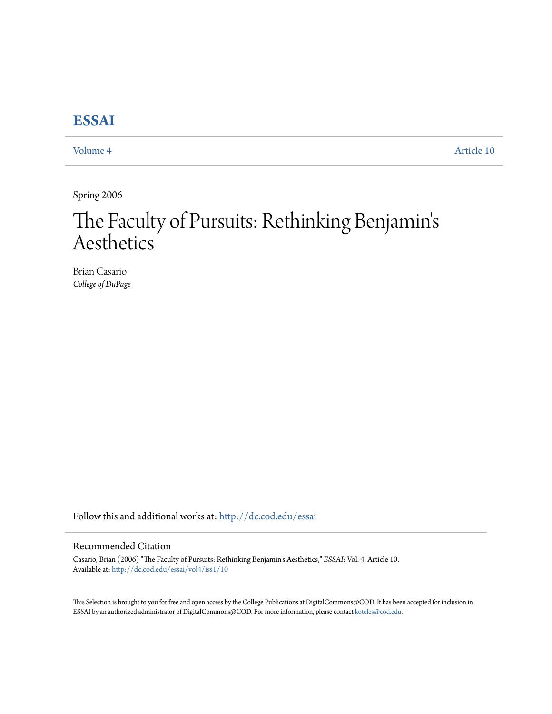# **[ESSAI](http://dc.cod.edu/essai?utm_source=dc.cod.edu%2Fessai%2Fvol4%2Fiss1%2F10&utm_medium=PDF&utm_campaign=PDFCoverPages)**

[Volume 4](http://dc.cod.edu/essai/vol4?utm_source=dc.cod.edu%2Fessai%2Fvol4%2Fiss1%2F10&utm_medium=PDF&utm_campaign=PDFCoverPages) [Article 10](http://dc.cod.edu/essai/vol4/iss1/10?utm_source=dc.cod.edu%2Fessai%2Fvol4%2Fiss1%2F10&utm_medium=PDF&utm_campaign=PDFCoverPages)

Spring 2006

# The Faculty of Pursuits: Rethinking Benjamin' s Aesthetics

Brian Casario *College of DuPage*

Follow this and additional works at: [http://dc.cod.edu/essai](http://dc.cod.edu/essai?utm_source=dc.cod.edu%2Fessai%2Fvol4%2Fiss1%2F10&utm_medium=PDF&utm_campaign=PDFCoverPages)

## Recommended Citation

Casario, Brian (2006) "The Faculty of Pursuits: Rethinking Benjamin's Aesthetics," *ESSAI*: Vol. 4, Article 10. Available at: [http://dc.cod.edu/essai/vol4/iss1/10](http://dc.cod.edu/essai/vol4/iss1/10?utm_source=dc.cod.edu%2Fessai%2Fvol4%2Fiss1%2F10&utm_medium=PDF&utm_campaign=PDFCoverPages)

This Selection is brought to you for free and open access by the College Publications at DigitalCommons@COD. It has been accepted for inclusion in ESSAI by an authorized administrator of DigitalCommons@COD. For more information, please contact [koteles@cod.edu](mailto:koteles@cod.edu).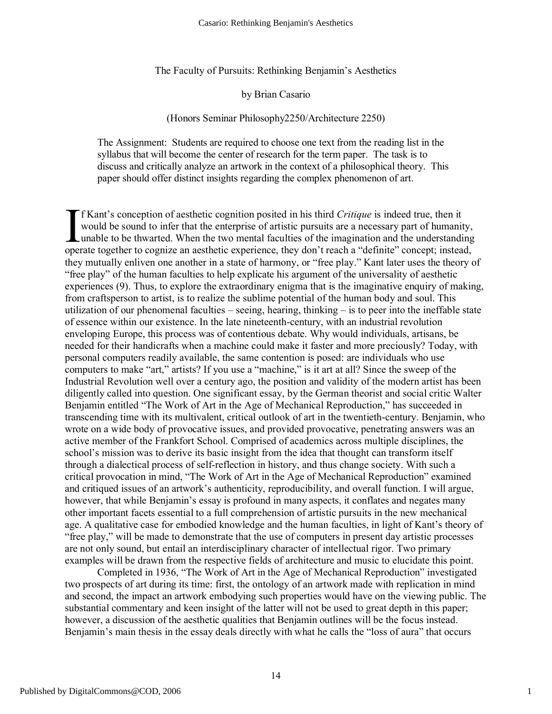The Faculty of Pursuits: Rethinking Benjamin's Aesthetics

#### by Brian Casario

#### (Honors Seminar Philosophy2250/Architecture 2250)

The Assignment: Students are required to choose one text from the reading list in the syllabus that will become the center of research for the term paper. The task is to discuss and critically analyze an artwork in the context of a philosophical theory. This paper should offer distinct insights regarding the complex phenomenon of art.

f Kant's conception of aesthetic cognition posited in his third *Critique* is indeed true, then it would be sound to infer that the enterprise of artistic pursuits are a necessary part of humanity, unable to be thwarted. When the two mental faculties of the imagination and the understanding If Kant's conception of aesthetic cognition posited in his third *Critique* is indeed true, then it would be sound to infer that the enterprise of artistic pursuits are a necessary part of humanity unable to be thwarted. W they mutually enliven one another in a state of harmony, or "free play." Kant later uses the theory of "free play" of the human faculties to help explicate his argument of the universality of aesthetic experiences (9). Thus, to explore the extraordinary enigma that is the imaginative enquiry of making, from craftsperson to artist, is to realize the sublime potential of the human body and soul. This utilization of our phenomenal faculties – seeing, hearing, thinking – is to peer into the ineffable state of essence within our existence. In the late nineteenth-century, with an industrial revolution enveloping Europe, this process was of contentious debate. Why would individuals, artisans, be needed for their handicrafts when a machine could make it faster and more preciously? Today, with personal computers readily available, the same contention is posed: are individuals who use computers to make "art," artists? If you use a "machine," is it art at all? Since the sweep of the Industrial Revolution well over a century ago, the position and validity of the modern artist has been diligently called into question. One significant essay, by the German theorist and social critic Walter Benjamin entitled "The Work of Art in the Age of Mechanical Reproduction," has succeeded in transcending time with its multivalent, critical outlook of art in the twentieth-century. Benjamin, who wrote on a wide body of provocative issues, and provided provocative, penetrating answers was an active member of the Frankfort School. Comprised of academics across multiple disciplines, the school's mission was to derive its basic insight from the idea that thought can transform itself through a dialectical process of self-reflection in history, and thus change society. With such a critical provocation in mind, "The Work of Art in the Age of Mechanical Reproduction" examined and critiqued issues of an artwork's authenticity, reproducibility, and overall function. I will argue, however, that while Benjamin's essay is profound in many aspects, it conflates and negates many other important facets essential to a full comprehension of artistic pursuits in the new mechanical age. A qualitative case for embodied knowledge and the human faculties, in light of Kant's theory of "free play," will be made to demonstrate that the use of computers in present day artistic processes are not only sound, but entail an interdisciplinary character of intellectual rigor. Two primary examples will be drawn from the respective fields of architecture and music to elucidate this point.

Completed in 1936, "The Work of Art in the Age of Mechanical Reproduction" investigated two prospects of art during its time: first, the ontology of an artwork made with replication in mind and second, the impact an artwork embodying such properties would have on the viewing public. The substantial commentary and keen insight of the latter will not be used to great depth in this paper; however, a discussion of the aesthetic qualities that Benjamin outlines will be the focus instead. Benjamin's main thesis in the essay deals directly with what he calls the "loss of aura" that occurs

1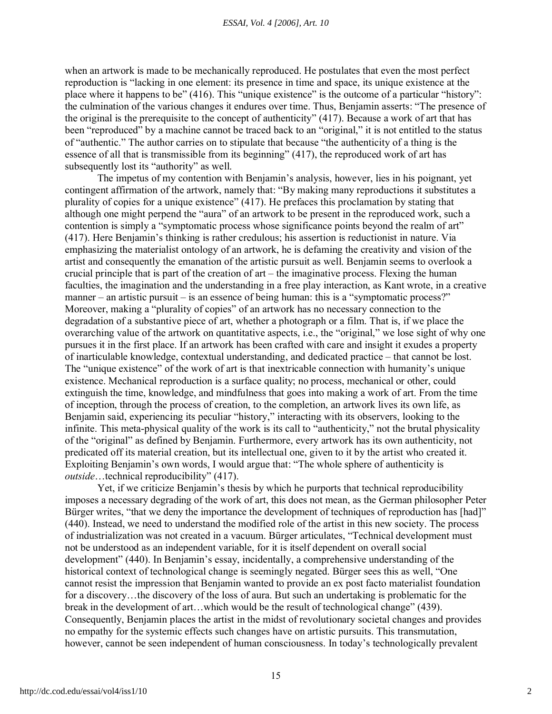when an artwork is made to be mechanically reproduced. He postulates that even the most perfect reproduction is "lacking in one element: its presence in time and space, its unique existence at the place where it happens to be" (416). This "unique existence" is the outcome of a particular "history": the culmination of the various changes it endures over time. Thus, Benjamin asserts: "The presence of the original is the prerequisite to the concept of authenticity" (417). Because a work of art that has been "reproduced" by a machine cannot be traced back to an "original," it is not entitled to the status of "authentic." The author carries on to stipulate that because "the authenticity of a thing is the essence of all that is transmissible from its beginning" (417), the reproduced work of art has subsequently lost its "authority" as well.

The impetus of my contention with Benjamin's analysis, however, lies in his poignant, yet contingent affirmation of the artwork, namely that: "By making many reproductions it substitutes a plurality of copies for a unique existence" (417). He prefaces this proclamation by stating that although one might perpend the "aura" of an artwork to be present in the reproduced work, such a contention is simply a "symptomatic process whose significance points beyond the realm of art" (417). Here Benjamin's thinking is rather credulous; his assertion is reductionist in nature. Via emphasizing the materialist ontology of an artwork, he is defaming the creativity and vision of the artist and consequently the emanation of the artistic pursuit as well. Benjamin seems to overlook a crucial principle that is part of the creation of art – the imaginative process. Flexing the human faculties, the imagination and the understanding in a free play interaction, as Kant wrote, in a creative manner – an artistic pursuit – is an essence of being human: this is a "symptomatic process?" Moreover, making a "plurality of copies" of an artwork has no necessary connection to the degradation of a substantive piece of art, whether a photograph or a film. That is, if we place the overarching value of the artwork on quantitative aspects, i.e., the "original," we lose sight of why one pursues it in the first place. If an artwork has been crafted with care and insight it exudes a property of inarticulable knowledge, contextual understanding, and dedicated practice – that cannot be lost. The "unique existence" of the work of art is that inextricable connection with humanity's unique existence. Mechanical reproduction is a surface quality; no process, mechanical or other, could extinguish the time, knowledge, and mindfulness that goes into making a work of art. From the time of inception, through the process of creation, to the completion, an artwork lives its own life, as Benjamin said, experiencing its peculiar "history," interacting with its observers, looking to the infinite. This meta-physical quality of the work is its call to "authenticity," not the brutal physicality of the "original" as defined by Benjamin. Furthermore, every artwork has its own authenticity, not predicated off its material creation, but its intellectual one, given to it by the artist who created it. Exploiting Benjamin's own words, I would argue that: "The whole sphere of authenticity is *outside*…technical reproducibility" (417).

Yet, if we criticize Benjamin's thesis by which he purports that technical reproducibility imposes a necessary degrading of the work of art, this does not mean, as the German philosopher Peter Bürger writes, "that we deny the importance the development of techniques of reproduction has [had]" (440). Instead, we need to understand the modified role of the artist in this new society. The process of industrialization was not created in a vacuum. Bürger articulates, "Technical development must not be understood as an independent variable, for it is itself dependent on overall social development" (440). In Benjamin's essay, incidentally, a comprehensive understanding of the historical context of technological change is seemingly negated. Bürger sees this as well, "One cannot resist the impression that Benjamin wanted to provide an ex post facto materialist foundation for a discovery…the discovery of the loss of aura. But such an undertaking is problematic for the break in the development of art…which would be the result of technological change" (439). Consequently, Benjamin places the artist in the midst of revolutionary societal changes and provides no empathy for the systemic effects such changes have on artistic pursuits. This transmutation, however, cannot be seen independent of human consciousness. In today's technologically prevalent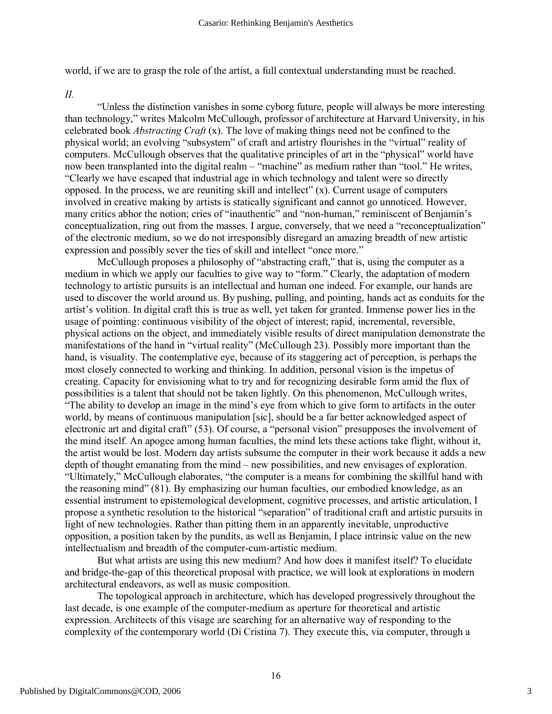world, if we are to grasp the role of the artist, a full contextual understanding must be reached.

*II.*

"Unless the distinction vanishes in some cyborg future, people will always be more interesting than technology," writes Malcolm McCullough, professor of architecture at Harvard University, in his celebrated book *Abstracting Craft* (x). The love of making things need not be confined to the physical world; an evolving "subsystem" of craft and artistry flourishes in the "virtual" reality of computers. McCullough observes that the qualitative principles of art in the "physical" world have now been transplanted into the digital realm – "machine" as medium rather than "tool." He writes, "Clearly we have escaped that industrial age in which technology and talent were so directly opposed. In the process, we are reuniting skill and intellect"  $(x)$ . Current usage of computers involved in creative making by artists is statically significant and cannot go unnoticed. However, many critics abhor the notion; cries of "inauthentic" and "non-human," reminiscent of Benjamin's conceptualization, ring out from the masses. I argue, conversely, that we need a "reconceptualization" of the electronic medium, so we do not irresponsibly disregard an amazing breadth of new artistic expression and possibly sever the ties of skill and intellect "once more."

McCullough proposes a philosophy of "abstracting craft," that is, using the computer as a medium in which we apply our faculties to give way to "form." Clearly, the adaptation of modern technology to artistic pursuits is an intellectual and human one indeed. For example, our hands are used to discover the world around us. By pushing, pulling, and pointing, hands act as conduits for the artist's volition. In digital craft this is true as well, yet taken for granted. Immense power lies in the usage of pointing: continuous visibility of the object of interest; rapid, incremental, reversible, physical actions on the object, and immediately visible results of direct manipulation demonstrate the manifestations of the hand in "virtual reality" (McCullough 23). Possibly more important than the hand, is visuality. The contemplative eye, because of its staggering act of perception, is perhaps the most closely connected to working and thinking. In addition, personal vision is the impetus of creating. Capacity for envisioning what to try and for recognizing desirable form amid the flux of possibilities is a talent that should not be taken lightly. On this phenomenon, McCullough writes, "The ability to develop an image in the mind's eye from which to give form to artifacts in the outer world, by means of continuous manipulation [sic], should be a far better acknowledged aspect of electronic art and digital craft" (53). Of course, a "personal vision" presupposes the involvement of the mind itself. An apogee among human faculties, the mind lets these actions take flight, without it, the artist would be lost. Modern day artists subsume the computer in their work because it adds a new depth of thought emanating from the mind – new possibilities, and new envisages of exploration. "Ultimately," McCullough elaborates, "the computer is a means for combining the skillful hand with the reasoning mind" (81). By emphasizing our human faculties, our embodied knowledge, as an essential instrument to epistemological development, cognitive processes, and artistic articulation, I propose a synthetic resolution to the historical "separation" of traditional craft and artistic pursuits in light of new technologies. Rather than pitting them in an apparently inevitable, unproductive opposition, a position taken by the pundits, as well as Benjamin, I place intrinsic value on the new intellectualism and breadth of the computer-cum-artistic medium.

But what artists are using this new medium? And how does it manifest itself? To elucidate and bridge-the-gap of this theoretical proposal with practice, we will look at explorations in modern architectural endeavors, as well as music composition.

The topological approach in architecture, which has developed progressively throughout the last decade, is one example of the computer-medium as aperture for theoretical and artistic expression. Architects of this visage are searching for an alternative way of responding to the complexity of the contemporary world (Di Cristina 7). They execute this, via computer, through a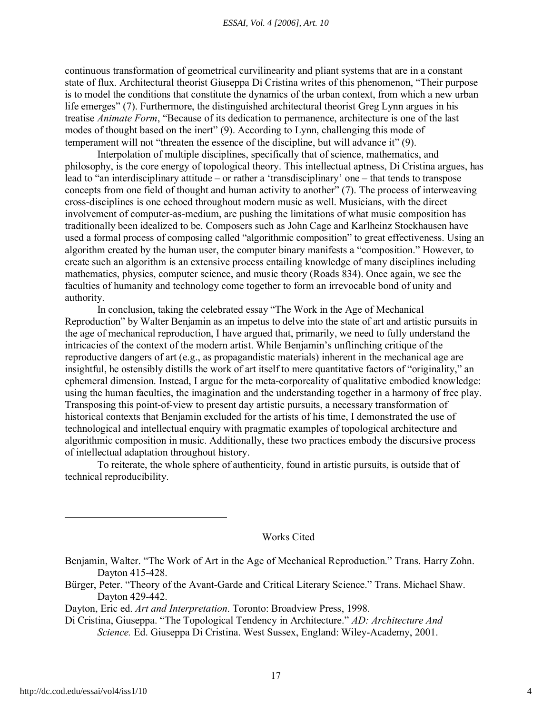continuous transformation of geometrical curvilinearity and pliant systems that are in a constant state of flux. Architectural theorist Giuseppa Di Cristina writes of this phenomenon, "Their purpose is to model the conditions that constitute the dynamics of the urban context, from which a new urban life emerges" (7). Furthermore, the distinguished architectural theorist Greg Lynn argues in his treatise *Animate Form*, "Because of its dedication to permanence, architecture is one of the last modes of thought based on the inert" (9). According to Lynn, challenging this mode of temperament will not "threaten the essence of the discipline, but will advance it" (9).

Interpolation of multiple disciplines, specifically that of science, mathematics, and philosophy, is the core energy of topological theory. This intellectual aptness, Di Cristina argues, has lead to "an interdisciplinary attitude – or rather a 'transdisciplinary' one – that tends to transpose concepts from one field of thought and human activity to another" (7). The process of interweaving cross-disciplines is one echoed throughout modern music as well. Musicians, with the direct involvement of computer-as-medium, are pushing the limitations of what music composition has traditionally been idealized to be. Composers such as John Cage and Karlheinz Stockhausen have used a formal process of composing called "algorithmic composition" to great effectiveness. Using an algorithm created by the human user, the computer binary manifests a "composition." However, to create such an algorithm is an extensive process entailing knowledge of many disciplines including mathematics, physics, computer science, and music theory (Roads 834). Once again, we see the faculties of humanity and technology come together to form an irrevocable bond of unity and authority.

In conclusion, taking the celebrated essay "The Work in the Age of Mechanical Reproduction" by Walter Benjamin as an impetus to delve into the state of art and artistic pursuits in the age of mechanical reproduction, I have argued that, primarily, we need to fully understand the intricacies of the context of the modern artist. While Benjamin's unflinching critique of the reproductive dangers of art (e.g., as propagandistic materials) inherent in the mechanical age are insightful, he ostensibly distills the work of art itself to mere quantitative factors of "originality," an ephemeral dimension. Instead, I argue for the meta-corporeality of qualitative embodied knowledge: using the human faculties, the imagination and the understanding together in a harmony of free play. Transposing this point-of-view to present day artistic pursuits, a necessary transformation of historical contexts that Benjamin excluded for the artists of his time, I demonstrated the use of technological and intellectual enquiry with pragmatic examples of topological architecture and algorithmic composition in music. Additionally, these two practices embody the discursive process of intellectual adaptation throughout history.

To reiterate, the whole sphere of authenticity, found in artistic pursuits, is outside that of technical reproducibility.

### Works Cited

Benjamin, Walter. "The Work of Art in the Age of Mechanical Reproduction." Trans. Harry Zohn. Dayton 415-428.

Bürger, Peter. "Theory of the Avant-Garde and Critical Literary Science." Trans. Michael Shaw. Dayton 429-442.

Dayton, Eric ed. *Art and Interpretation*. Toronto: Broadview Press, 1998.

Di Cristina, Giuseppa. "The Topological Tendency in Architecture." *AD: Architecture And Science.* Ed. Giuseppa Di Cristina. West Sussex, England: Wiley-Academy, 2001.